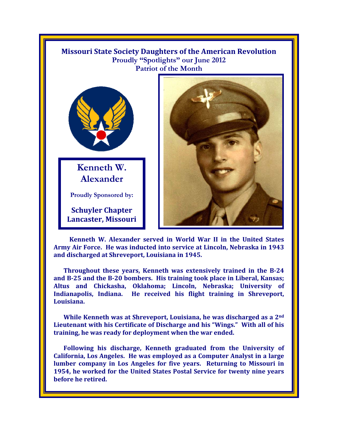

 **Kenneth W. Alexander served in World War II in the United States Army Air Force. He was inducted into service at Lincoln, Nebraska in 1943 and discharged at Shreveport, Louisiana in 1945.** 

**Throughout these years, Kenneth was extensively trained in the B-24 and B-25 and the B-20 bombers. His training took place in Liberal, Kansas; Altus and Chickasha, Oklahoma; Lincoln, Nebraska; University of Indianapolis, Indiana. He received his flight training in Shreveport, Louisiana.** 

**While Kenneth was at Shreveport, Louisiana, he was discharged as a 2nd Lieutenant with his Certificate of Discharge and his "Wings." With all of his training, he was ready for deployment when the war ended.** 

**Following his discharge, Kenneth graduated from the University of California, Los Angeles. He was employed as a Computer Analyst in a large lumber company in Los Angeles for five years. Returning to Missouri in 1954, he worked for the United States Postal Service for twenty nine years before he retired.**